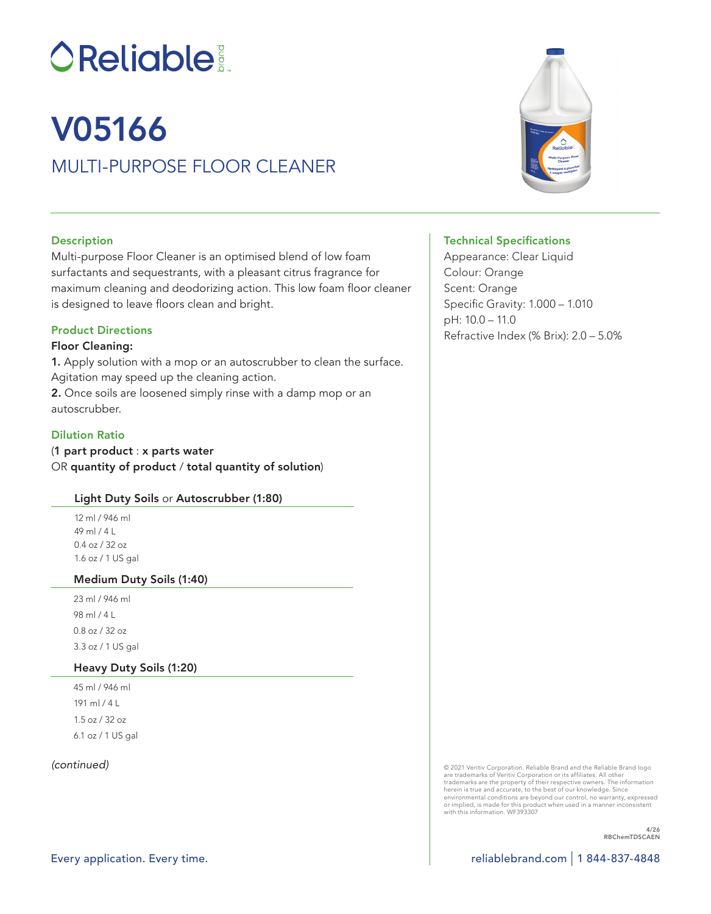# **OReliable:**

## V05166

### MULTI-PURPOSE FLOOR CLEANER

#### **Description**

Multi-purpose Floor Cleaner is an optimised blend of low foam surfactants and sequestrants, with a pleasant citrus fragrance for maximum cleaning and deodorizing action. This low foam floor cleaner is designed to leave floors clean and bright.

#### Product Directions

#### Floor Cleaning:

1. Apply solution with a mop or an autoscrubber to clean the surface. Agitation may speed up the cleaning action. 2. Once soils are loosened simply rinse with a damp mop or an autoscrubber.

#### Dilution Ratio

(1 part product : x parts water OR quantity of product / total quantity of solution)

#### Light Duty Soils or Autoscrubber (1:80)

12 ml / 946 ml 49 ml / 4 L 0.4 oz / 32 oz 1.6 oz / 1 US gal

#### Medium Duty Soils (1:40)

23 ml / 946 ml 98 ml / 4 L 0.8 oz / 32 oz 3.3 oz / 1 US gal

#### Heavy Duty Soils (1:20)

45 ml / 946 ml 191 ml / 4 L 1.5 oz / 32 oz 6.1 oz / 1 US gal

#### *(continued)*



#### Technical Specifications

Appearance: Clear Liquid Colour: Orange Scent: Orange Specific Gravity: 1.000 – 1.010 pH: 10.0 – 11.0 Refractive Index (% Brix): 2.0 – 5.0%

© 2021 Veritiv Corporation. Reliable Brand and the Reliable Brand logo<br>are trademarks of Veritiv Corporation or its affiliates. All other<br>trademarks are the property of their respective owners. The information<br>herein is tr environmental conditions are beyond our control, no warranty, expressed or implied, is made for this product when used in a manner inconsistent with this information. WF393307

> 4/26 RBChemTDSCAEN